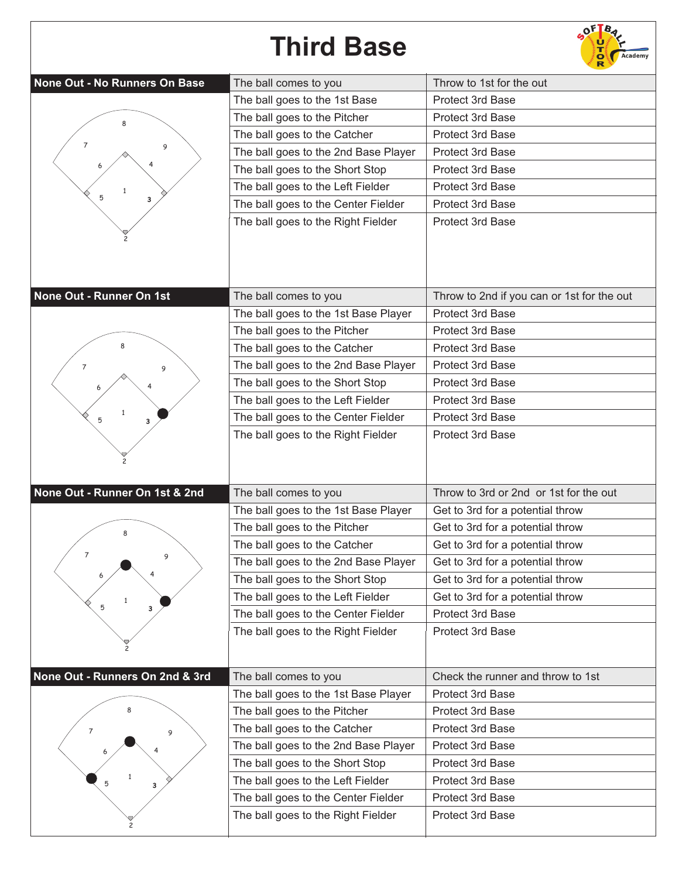## **Third Base**



| None Out - No Runners On Base   | The ball comes to you                | Throw to 1st for the out                   |
|---------------------------------|--------------------------------------|--------------------------------------------|
|                                 | The ball goes to the 1st Base        | <b>Protect 3rd Base</b>                    |
| 8                               | The ball goes to the Pitcher         | <b>Protect 3rd Base</b>                    |
|                                 | The ball goes to the Catcher         | <b>Protect 3rd Base</b>                    |
| 7<br>9                          | The ball goes to the 2nd Base Player | Protect 3rd Base                           |
|                                 | The ball goes to the Short Stop      | <b>Protect 3rd Base</b>                    |
| $\mathbf{1}$                    | The ball goes to the Left Fielder    | Protect 3rd Base                           |
| 5<br>3                          | The ball goes to the Center Fielder  | <b>Protect 3rd Base</b>                    |
|                                 | The ball goes to the Right Fielder   | <b>Protect 3rd Base</b>                    |
|                                 |                                      |                                            |
|                                 |                                      |                                            |
|                                 |                                      |                                            |
| None Out - Runner On 1st        | The ball comes to you                | Throw to 2nd if you can or 1st for the out |
|                                 | The ball goes to the 1st Base Player | Protect 3rd Base                           |
|                                 | The ball goes to the Pitcher         | <b>Protect 3rd Base</b>                    |
|                                 | The ball goes to the Catcher         | <b>Protect 3rd Base</b>                    |
| 7<br>9                          | The ball goes to the 2nd Base Player | Protect 3rd Base                           |
|                                 | The ball goes to the Short Stop      | <b>Protect 3rd Base</b>                    |
|                                 | The ball goes to the Left Fielder    | Protect 3rd Base                           |
| $\mathbf{1}$<br>5<br>3          | The ball goes to the Center Fielder  | Protect 3rd Base                           |
|                                 | The ball goes to the Right Fielder   | Protect 3rd Base                           |
|                                 |                                      |                                            |
|                                 |                                      |                                            |
| None Out - Runner On 1st & 2nd  | The ball comes to you                | Throw to 3rd or 2nd or 1st for the out     |
|                                 | The ball goes to the 1st Base Player | Get to 3rd for a potential throw           |
|                                 | The ball goes to the Pitcher         | Get to 3rd for a potential throw           |
|                                 | The ball goes to the Catcher         | Get to 3rd for a potential throw           |
| $\overline{7}$<br>9             | The ball goes to the 2nd Base Player | Get to 3rd for a potential throw           |
| 6                               | The ball goes to the Short Stop      | Get to 3rd for a potential throw           |
| $\mathbf{1}$                    | The ball goes to the Left Fielder    | Get to 3rd for a potential throw           |
| 5<br>3                          | The ball goes to the Center Fielder  | Protect 3rd Base                           |
|                                 | The ball goes to the Right Fielder   | Protect 3rd Base                           |
|                                 |                                      |                                            |
| None Out - Runners On 2nd & 3rd | The ball comes to you                | Check the runner and throw to 1st          |
|                                 | The ball goes to the 1st Base Player | Protect 3rd Base                           |
|                                 | The ball goes to the Pitcher         | Protect 3rd Base                           |
|                                 | The ball goes to the Catcher         | Protect 3rd Base                           |
| 7<br>9                          | The ball goes to the 2nd Base Player | Protect 3rd Base                           |
|                                 | The ball goes to the Short Stop      | Protect 3rd Base                           |
|                                 | The ball goes to the Left Fielder    | Protect 3rd Base                           |
| 3                               | The ball goes to the Center Fielder  | Protect 3rd Base                           |
|                                 | The ball goes to the Right Fielder   | Protect 3rd Base                           |
|                                 |                                      |                                            |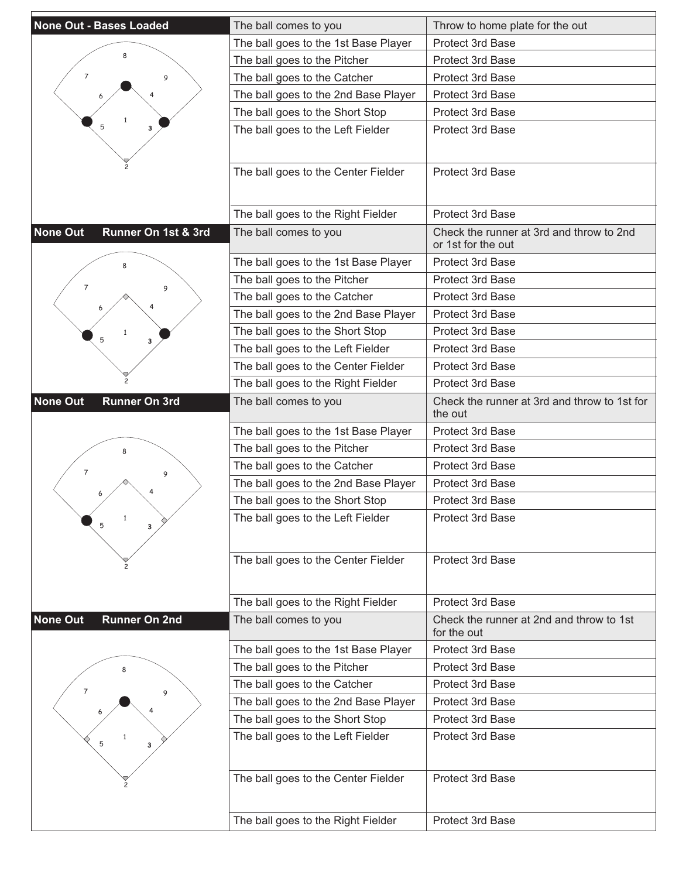| None Out - Bases Loaded                 | The ball comes to you                | Throw to home plate for the out                                |
|-----------------------------------------|--------------------------------------|----------------------------------------------------------------|
|                                         |                                      | Protect 3rd Base                                               |
|                                         | The ball goes to the 1st Base Player |                                                                |
| 7                                       | The ball goes to the Pitcher         | <b>Protect 3rd Base</b>                                        |
| 9                                       | The ball goes to the Catcher         | <b>Protect 3rd Base</b>                                        |
|                                         | The ball goes to the 2nd Base Player | Protect 3rd Base                                               |
|                                         | The ball goes to the Short Stop      | Protect 3rd Base                                               |
| з                                       | The ball goes to the Left Fielder    | <b>Protect 3rd Base</b>                                        |
|                                         |                                      |                                                                |
|                                         | The ball goes to the Center Fielder  | Protect 3rd Base                                               |
|                                         |                                      |                                                                |
|                                         | The ball goes to the Right Fielder   | <b>Protect 3rd Base</b>                                        |
| <b>None Out</b><br>Runner On 1st & 3rd  | The ball comes to you                | Check the runner at 3rd and throw to 2nd<br>or 1st for the out |
|                                         | The ball goes to the 1st Base Player | Protect 3rd Base                                               |
|                                         | The ball goes to the Pitcher         | Protect 3rd Base                                               |
| $\overline{7}$<br>9                     | The ball goes to the Catcher         | <b>Protect 3rd Base</b>                                        |
|                                         | The ball goes to the 2nd Base Player | Protect 3rd Base                                               |
|                                         | The ball goes to the Short Stop      | <b>Protect 3rd Base</b>                                        |
| з                                       | The ball goes to the Left Fielder    | <b>Protect 3rd Base</b>                                        |
|                                         | The ball goes to the Center Fielder  | Protect 3rd Base                                               |
|                                         | The ball goes to the Right Fielder   | Protect 3rd Base                                               |
| <b>None Out</b><br><b>Runner On 3rd</b> | The ball comes to you                | Check the runner at 3rd and throw to 1st for<br>the out        |
|                                         | The ball goes to the 1st Base Player | <b>Protect 3rd Base</b>                                        |
|                                         | The ball goes to the Pitcher         | <b>Protect 3rd Base</b>                                        |
| 7<br>9                                  | The ball goes to the Catcher         | Protect 3rd Base                                               |
|                                         | The ball goes to the 2nd Base Player | <b>Protect 3rd Base</b>                                        |
|                                         | The ball goes to the Short Stop      | <b>Protect 3rd Base</b>                                        |
| $\mathbf{1}$<br>5                       | The ball goes to the Left Fielder    | Protect 3rd Base                                               |
|                                         |                                      |                                                                |
|                                         | The ball goes to the Center Fielder  | Protect 3rd Base                                               |
|                                         |                                      |                                                                |
|                                         |                                      |                                                                |
|                                         | The ball goes to the Right Fielder   | Protect 3rd Base                                               |
| <b>None Out</b><br><b>Runner On 2nd</b> | The ball comes to you                | Check the runner at 2nd and throw to 1st<br>for the out        |
|                                         | The ball goes to the 1st Base Player | <b>Protect 3rd Base</b>                                        |
|                                         | The ball goes to the Pitcher         | Protect 3rd Base                                               |
| $\overline{7}$<br>9                     | The ball goes to the Catcher         | Protect 3rd Base                                               |
|                                         | The ball goes to the 2nd Base Player | Protect 3rd Base                                               |
|                                         | The ball goes to the Short Stop      | Protect 3rd Base                                               |
| 5<br>з                                  | The ball goes to the Left Fielder    | Protect 3rd Base                                               |
|                                         |                                      |                                                                |
|                                         | The ball goes to the Center Fielder  | Protect 3rd Base                                               |
|                                         |                                      |                                                                |
|                                         | The ball goes to the Right Fielder   | Protect 3rd Base                                               |
|                                         |                                      |                                                                |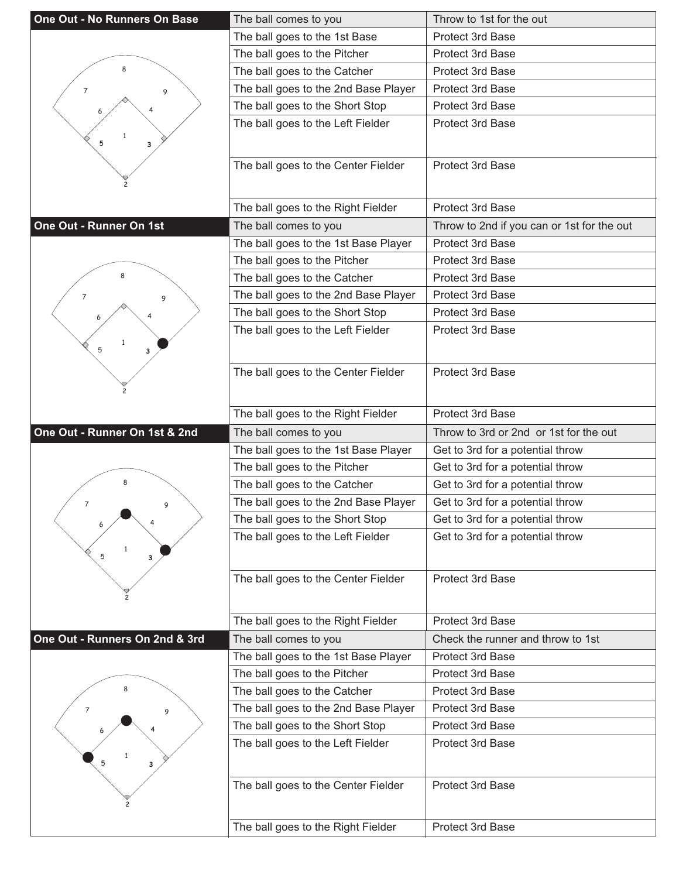| One Out - No Runners On Base   | The ball comes to you                | Throw to 1st for the out                   |
|--------------------------------|--------------------------------------|--------------------------------------------|
|                                | The ball goes to the 1st Base        | Protect 3rd Base                           |
|                                | The ball goes to the Pitcher         | <b>Protect 3rd Base</b>                    |
| 8                              | The ball goes to the Catcher         | Protect 3rd Base                           |
| $\overline{7}$<br>9            | The ball goes to the 2nd Base Player | <b>Protect 3rd Base</b>                    |
|                                | The ball goes to the Short Stop      | Protect 3rd Base                           |
|                                | The ball goes to the Left Fielder    | Protect 3rd Base                           |
| 1<br>5<br>3                    |                                      |                                            |
|                                | The ball goes to the Center Fielder  | Protect 3rd Base                           |
|                                |                                      |                                            |
|                                |                                      |                                            |
|                                | The ball goes to the Right Fielder   | Protect 3rd Base                           |
| One Out - Runner On 1st        | The ball comes to you                | Throw to 2nd if you can or 1st for the out |
|                                | The ball goes to the 1st Base Player | Protect 3rd Base                           |
|                                | The ball goes to the Pitcher         | <b>Protect 3rd Base</b>                    |
|                                | The ball goes to the Catcher         | Protect 3rd Base                           |
| 7<br>9                         | The ball goes to the 2nd Base Player | <b>Protect 3rd Base</b>                    |
|                                | The ball goes to the Short Stop      | Protect 3rd Base                           |
|                                | The ball goes to the Left Fielder    | Protect 3rd Base                           |
| $\mathbf{1}$<br>5<br>3         |                                      |                                            |
|                                | The ball goes to the Center Fielder  | Protect 3rd Base                           |
|                                |                                      |                                            |
|                                |                                      |                                            |
|                                | The ball goes to the Right Fielder   | Protect 3rd Base                           |
|                                |                                      |                                            |
| One Out - Runner On 1st & 2nd  | The ball comes to you                | Throw to 3rd or 2nd or 1st for the out     |
|                                | The ball goes to the 1st Base Player | Get to 3rd for a potential throw           |
|                                | The ball goes to the Pitcher         | Get to 3rd for a potential throw           |
| 8                              | The ball goes to the Catcher         | Get to 3rd for a potential throw           |
| $\overline{7}$<br>9            | The ball goes to the 2nd Base Player | Get to 3rd for a potential throw           |
| 6                              | The ball goes to the Short Stop      | Get to 3rd for a potential throw           |
|                                | The ball goes to the Left Fielder    | Get to 3rd for a potential throw           |
| 5<br>з                         |                                      |                                            |
|                                | The ball goes to the Center Fielder  | Protect 3rd Base                           |
|                                |                                      |                                            |
|                                |                                      |                                            |
|                                | The ball goes to the Right Fielder   | Protect 3rd Base                           |
| One Out - Runners On 2nd & 3rd | The ball comes to you                | Check the runner and throw to 1st          |
|                                | The ball goes to the 1st Base Player | Protect 3rd Base                           |
|                                | The ball goes to the Pitcher         | Protect 3rd Base                           |
|                                | The ball goes to the Catcher         | Protect 3rd Base                           |
| 7<br>9                         | The ball goes to the 2nd Base Player | Protect 3rd Base                           |
|                                | The ball goes to the Short Stop      | Protect 3rd Base                           |
|                                | The ball goes to the Left Fielder    | Protect 3rd Base                           |
| 5<br>3                         |                                      |                                            |
|                                | The ball goes to the Center Fielder  | Protect 3rd Base                           |
|                                |                                      |                                            |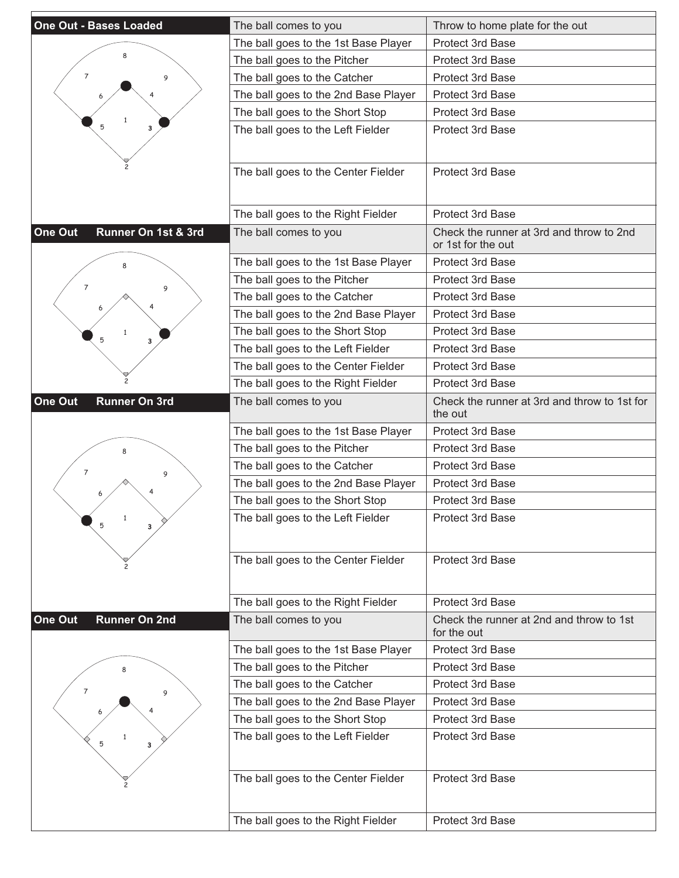| <b>One Out - Bases Loaded</b>   | The ball comes to you                | Throw to home plate for the out                                |
|---------------------------------|--------------------------------------|----------------------------------------------------------------|
|                                 | The ball goes to the 1st Base Player | <b>Protect 3rd Base</b>                                        |
|                                 | The ball goes to the Pitcher         | <b>Protect 3rd Base</b>                                        |
| 7<br>9                          | The ball goes to the Catcher         | <b>Protect 3rd Base</b>                                        |
|                                 | The ball goes to the 2nd Base Player | Protect 3rd Base                                               |
|                                 | The ball goes to the Short Stop      | Protect 3rd Base                                               |
|                                 | The ball goes to the Left Fielder    | <b>Protect 3rd Base</b>                                        |
|                                 |                                      |                                                                |
|                                 |                                      |                                                                |
|                                 | The ball goes to the Center Fielder  | Protect 3rd Base                                               |
|                                 |                                      |                                                                |
|                                 | The ball goes to the Right Fielder   | <b>Protect 3rd Base</b>                                        |
| One Out<br>Runner On 1st & 3rd  | The ball comes to you                | Check the runner at 3rd and throw to 2nd<br>or 1st for the out |
|                                 | The ball goes to the 1st Base Player | Protect 3rd Base                                               |
| $\overline{7}$<br>9             | The ball goes to the Pitcher         | Protect 3rd Base                                               |
|                                 | The ball goes to the Catcher         | <b>Protect 3rd Base</b>                                        |
|                                 | The ball goes to the 2nd Base Player | Protect 3rd Base                                               |
| з                               | The ball goes to the Short Stop      | <b>Protect 3rd Base</b>                                        |
|                                 | The ball goes to the Left Fielder    | <b>Protect 3rd Base</b>                                        |
|                                 | The ball goes to the Center Fielder  | Protect 3rd Base                                               |
|                                 | The ball goes to the Right Fielder   | Protect 3rd Base                                               |
| One Out<br><b>Runner On 3rd</b> | The ball comes to you                | Check the runner at 3rd and throw to 1st for<br>the out        |
|                                 | The ball goes to the 1st Base Player | <b>Protect 3rd Base</b>                                        |
|                                 | The ball goes to the Pitcher         | <b>Protect 3rd Base</b>                                        |
| 7<br>9                          | The ball goes to the Catcher         | Protect 3rd Base                                               |
|                                 | The ball goes to the 2nd Base Player | <b>Protect 3rd Base</b>                                        |
|                                 | The ball goes to the Short Stop      | <b>Protect 3rd Base</b>                                        |
| $\mathbf{1}$<br>5               | The ball goes to the Left Fielder    | Protect 3rd Base                                               |
|                                 |                                      |                                                                |
|                                 | The ball goes to the Center Fielder  | Protect 3rd Base                                               |
|                                 |                                      |                                                                |
|                                 | The ball goes to the Right Fielder   | Protect 3rd Base                                               |
| One Out<br><b>Runner On 2nd</b> | The ball comes to you                | Check the runner at 2nd and throw to 1st<br>for the out        |
|                                 | The ball goes to the 1st Base Player | <b>Protect 3rd Base</b>                                        |
|                                 | The ball goes to the Pitcher         | Protect 3rd Base                                               |
| $\overline{7}$<br>9             | The ball goes to the Catcher         | Protect 3rd Base                                               |
|                                 | The ball goes to the 2nd Base Player | Protect 3rd Base                                               |
|                                 | The ball goes to the Short Stop      | Protect 3rd Base                                               |
| 5<br>з                          | The ball goes to the Left Fielder    | Protect 3rd Base                                               |
|                                 |                                      |                                                                |
|                                 | The ball goes to the Center Fielder  | Protect 3rd Base                                               |
|                                 |                                      |                                                                |
|                                 | The ball goes to the Right Fielder   | Protect 3rd Base                                               |
|                                 |                                      |                                                                |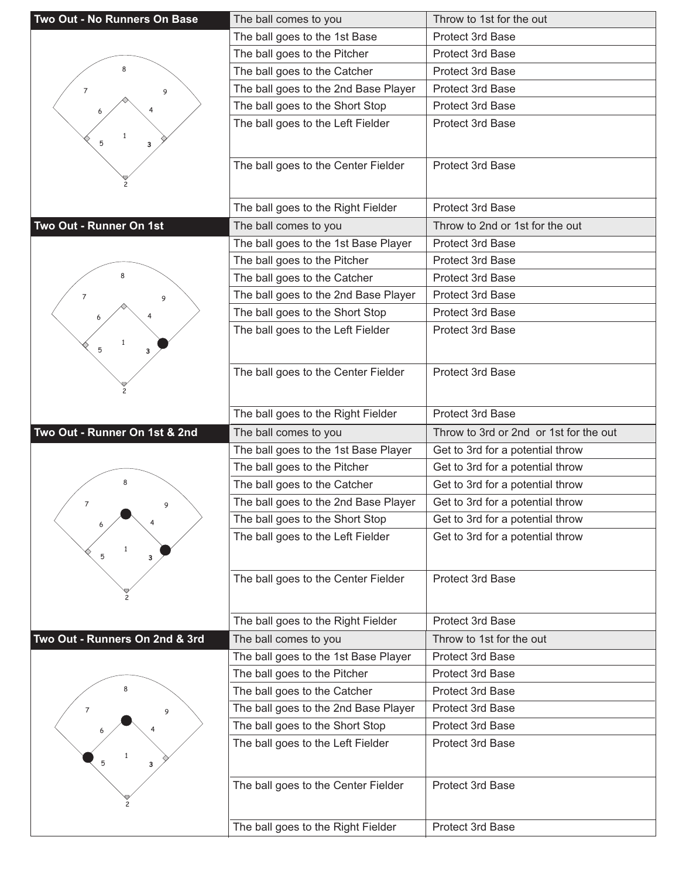| Two Out - No Runners On Base   | The ball comes to you                | Throw to 1st for the out               |
|--------------------------------|--------------------------------------|----------------------------------------|
|                                | The ball goes to the 1st Base        | Protect 3rd Base                       |
|                                | The ball goes to the Pitcher         | <b>Protect 3rd Base</b>                |
| 8                              | The ball goes to the Catcher         | Protect 3rd Base                       |
| 7<br>9                         | The ball goes to the 2nd Base Player | <b>Protect 3rd Base</b>                |
|                                | The ball goes to the Short Stop      | <b>Protect 3rd Base</b>                |
|                                | The ball goes to the Left Fielder    | Protect 3rd Base                       |
| $\mathbf{1}$<br>5<br>3         |                                      |                                        |
|                                |                                      |                                        |
|                                | The ball goes to the Center Fielder  | Protect 3rd Base                       |
|                                |                                      |                                        |
|                                | The ball goes to the Right Fielder   | Protect 3rd Base                       |
| Two Out - Runner On 1st        | The ball comes to you                | Throw to 2nd or 1st for the out        |
|                                | The ball goes to the 1st Base Player | Protect 3rd Base                       |
|                                | The ball goes to the Pitcher         | <b>Protect 3rd Base</b>                |
|                                | The ball goes to the Catcher         | Protect 3rd Base                       |
| 7<br>9                         | The ball goes to the 2nd Base Player | Protect 3rd Base                       |
|                                | The ball goes to the Short Stop      | <b>Protect 3rd Base</b>                |
|                                | The ball goes to the Left Fielder    | Protect 3rd Base                       |
| 5<br>3                         |                                      |                                        |
|                                |                                      | Protect 3rd Base                       |
|                                | The ball goes to the Center Fielder  |                                        |
|                                |                                      |                                        |
|                                | The ball goes to the Right Fielder   | Protect 3rd Base                       |
|                                |                                      |                                        |
| Two Out - Runner On 1st & 2nd  | The ball comes to you                | Throw to 3rd or 2nd or 1st for the out |
|                                | The ball goes to the 1st Base Player | Get to 3rd for a potential throw       |
|                                | The ball goes to the Pitcher         | Get to 3rd for a potential throw       |
| 8                              | The ball goes to the Catcher         | Get to 3rd for a potential throw       |
| $\overline{7}$<br>9            | The ball goes to the 2nd Base Player | Get to 3rd for a potential throw       |
| 6                              | The ball goes to the Short Stop      | Get to 3rd for a potential throw       |
|                                | The ball goes to the Left Fielder    | Get to 3rd for a potential throw       |
| 5<br>з                         |                                      |                                        |
|                                |                                      |                                        |
|                                | The ball goes to the Center Fielder  | Protect 3rd Base                       |
|                                |                                      |                                        |
|                                | The ball goes to the Right Fielder   | Protect 3rd Base                       |
| Two Out - Runners On 2nd & 3rd | The ball comes to you                | Throw to 1st for the out               |
|                                | The ball goes to the 1st Base Player | Protect 3rd Base                       |
|                                | The ball goes to the Pitcher         | Protect 3rd Base                       |
|                                | The ball goes to the Catcher         | Protect 3rd Base                       |
| 7<br>9                         | The ball goes to the 2nd Base Player | Protect 3rd Base                       |
|                                | The ball goes to the Short Stop      | Protect 3rd Base                       |
|                                | The ball goes to the Left Fielder    | Protect 3rd Base                       |
| 5<br>3                         |                                      |                                        |
|                                |                                      |                                        |
|                                | The ball goes to the Center Fielder  | Protect 3rd Base                       |
|                                | The ball goes to the Right Fielder   | Protect 3rd Base                       |